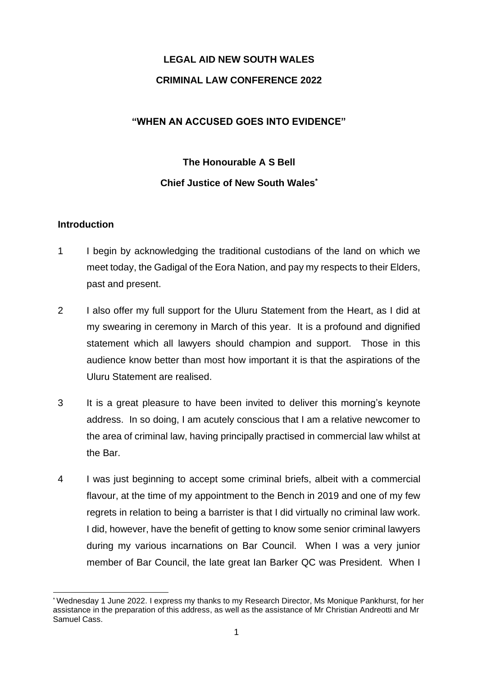## **LEGAL AID NEW SOUTH WALES CRIMINAL LAW CONFERENCE 2022**

## **"WHEN AN ACCUSED GOES INTO EVIDENCE"**

# **The Honourable A S Bell Chief Justice of New South Wales\***

## **Introduction**

- 1 I begin by acknowledging the traditional custodians of the land on which we meet today, the Gadigal of the Eora Nation, and pay my respects to their Elders, past and present.
- 2 I also offer my full support for the Uluru Statement from the Heart, as I did at my swearing in ceremony in March of this year. It is a profound and dignified statement which all lawyers should champion and support. Those in this audience know better than most how important it is that the aspirations of the Uluru Statement are realised.
- 3 It is a great pleasure to have been invited to deliver this morning's keynote address. In so doing, I am acutely conscious that I am a relative newcomer to the area of criminal law, having principally practised in commercial law whilst at the Bar.
- 4 I was just beginning to accept some criminal briefs, albeit with a commercial flavour, at the time of my appointment to the Bench in 2019 and one of my few regrets in relation to being a barrister is that I did virtually no criminal law work. I did, however, have the benefit of getting to know some senior criminal lawyers during my various incarnations on Bar Council. When I was a very junior member of Bar Council, the late great Ian Barker QC was President. When I

<sup>\*</sup> Wednesday 1 June 2022. I express my thanks to my Research Director, Ms Monique Pankhurst, for her assistance in the preparation of this address, as well as the assistance of Mr Christian Andreotti and Mr Samuel Cass.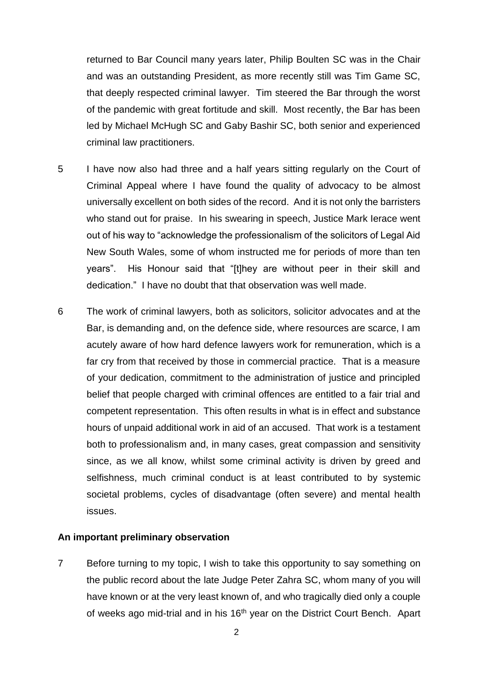returned to Bar Council many years later, Philip Boulten SC was in the Chair and was an outstanding President, as more recently still was Tim Game SC, that deeply respected criminal lawyer. Tim steered the Bar through the worst of the pandemic with great fortitude and skill. Most recently, the Bar has been led by Michael McHugh SC and Gaby Bashir SC, both senior and experienced criminal law practitioners.

- 5 I have now also had three and a half years sitting regularly on the Court of Criminal Appeal where I have found the quality of advocacy to be almost universally excellent on both sides of the record. And it is not only the barristers who stand out for praise. In his swearing in speech, Justice Mark Ierace went out of his way to "acknowledge the professionalism of the solicitors of Legal Aid New South Wales, some of whom instructed me for periods of more than ten years". His Honour said that "[t]hey are without peer in their skill and dedication." I have no doubt that that observation was well made.
- 6 The work of criminal lawyers, both as solicitors, solicitor advocates and at the Bar, is demanding and, on the defence side, where resources are scarce, I am acutely aware of how hard defence lawyers work for remuneration, which is a far cry from that received by those in commercial practice. That is a measure of your dedication, commitment to the administration of justice and principled belief that people charged with criminal offences are entitled to a fair trial and competent representation. This often results in what is in effect and substance hours of unpaid additional work in aid of an accused. That work is a testament both to professionalism and, in many cases, great compassion and sensitivity since, as we all know, whilst some criminal activity is driven by greed and selfishness, much criminal conduct is at least contributed to by systemic societal problems, cycles of disadvantage (often severe) and mental health issues.

#### **An important preliminary observation**

7 Before turning to my topic, I wish to take this opportunity to say something on the public record about the late Judge Peter Zahra SC, whom many of you will have known or at the very least known of, and who tragically died only a couple of weeks ago mid-trial and in his 16<sup>th</sup> year on the District Court Bench. Apart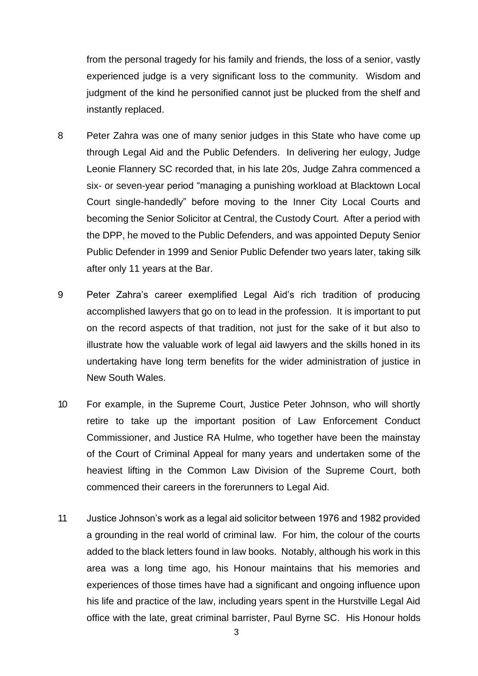from the personal tragedy for his family and friends, the loss of a senior, vastly experienced judge is a very significant loss to the community. Wisdom and judgment of the kind he personified cannot just be plucked from the shelf and instantly replaced.

- 8 Peter Zahra was one of many senior judges in this State who have come up through Legal Aid and the Public Defenders. In delivering her eulogy, Judge Leonie Flannery SC recorded that, in his late 20s, Judge Zahra commenced a six- or seven-year period "managing a punishing workload at Blacktown Local Court single-handedly" before moving to the Inner City Local Courts and becoming the Senior Solicitor at Central, the Custody Court. After a period with the DPP, he moved to the Public Defenders, and was appointed Deputy Senior Public Defender in 1999 and Senior Public Defender two years later, taking silk after only 11 years at the Bar.
- 9 Peter Zahra's career exemplified Legal Aid's rich tradition of producing accomplished lawyers that go on to lead in the profession. It is important to put on the record aspects of that tradition, not just for the sake of it but also to illustrate how the valuable work of legal aid lawyers and the skills honed in its undertaking have long term benefits for the wider administration of justice in New South Wales.
- 10 For example, in the Supreme Court, Justice Peter Johnson, who will shortly retire to take up the important position of Law Enforcement Conduct Commissioner, and Justice RA Hulme, who together have been the mainstay of the Court of Criminal Appeal for many years and undertaken some of the heaviest lifting in the Common Law Division of the Supreme Court, both commenced their careers in the forerunners to Legal Aid.
- 11 Justice Johnson's work as a legal aid solicitor between 1976 and 1982 provided a grounding in the real world of criminal law. For him, the colour of the courts added to the black letters found in law books. Notably, although his work in this area was a long time ago, his Honour maintains that his memories and experiences of those times have had a significant and ongoing influence upon his life and practice of the law, including years spent in the Hurstville Legal Aid office with the late, great criminal barrister, Paul Byrne SC. His Honour holds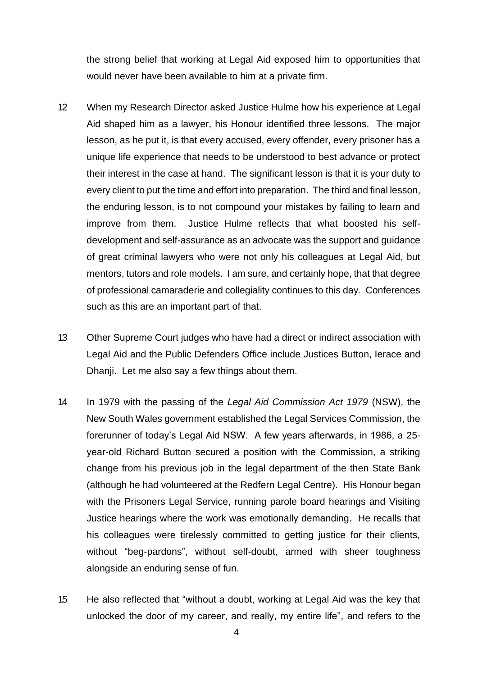the strong belief that working at Legal Aid exposed him to opportunities that would never have been available to him at a private firm.

- 12 When my Research Director asked Justice Hulme how his experience at Legal Aid shaped him as a lawyer, his Honour identified three lessons. The major lesson, as he put it, is that every accused, every offender, every prisoner has a unique life experience that needs to be understood to best advance or protect their interest in the case at hand. The significant lesson is that it is your duty to every client to put the time and effort into preparation. The third and final lesson, the enduring lesson, is to not compound your mistakes by failing to learn and improve from them. Justice Hulme reflects that what boosted his selfdevelopment and self-assurance as an advocate was the support and guidance of great criminal lawyers who were not only his colleagues at Legal Aid, but mentors, tutors and role models. I am sure, and certainly hope, that that degree of professional camaraderie and collegiality continues to this day. Conferences such as this are an important part of that.
- 13 Other Supreme Court judges who have had a direct or indirect association with Legal Aid and the Public Defenders Office include Justices Button, Ierace and Dhanji. Let me also say a few things about them.
- 14 In 1979 with the passing of the *Legal Aid Commission Act 1979* (NSW), the New South Wales government established the Legal Services Commission, the forerunner of today's Legal Aid NSW. A few years afterwards, in 1986, a 25 year-old Richard Button secured a position with the Commission, a striking change from his previous job in the legal department of the then State Bank (although he had volunteered at the Redfern Legal Centre). His Honour began with the Prisoners Legal Service, running parole board hearings and Visiting Justice hearings where the work was emotionally demanding. He recalls that his colleagues were tirelessly committed to getting justice for their clients, without "beg-pardons", without self-doubt, armed with sheer toughness alongside an enduring sense of fun.
- 15 He also reflected that "without a doubt, working at Legal Aid was the key that unlocked the door of my career, and really, my entire life", and refers to the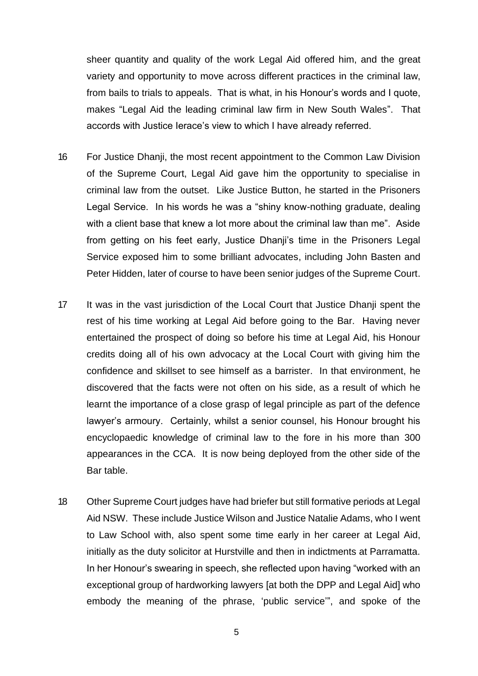sheer quantity and quality of the work Legal Aid offered him, and the great variety and opportunity to move across different practices in the criminal law, from bails to trials to appeals. That is what, in his Honour's words and I quote, makes "Legal Aid the leading criminal law firm in New South Wales". That accords with Justice Ierace's view to which I have already referred.

- 16 For Justice Dhanji, the most recent appointment to the Common Law Division of the Supreme Court, Legal Aid gave him the opportunity to specialise in criminal law from the outset. Like Justice Button, he started in the Prisoners Legal Service. In his words he was a "shiny know-nothing graduate, dealing with a client base that knew a lot more about the criminal law than me". Aside from getting on his feet early, Justice Dhanji's time in the Prisoners Legal Service exposed him to some brilliant advocates, including John Basten and Peter Hidden, later of course to have been senior judges of the Supreme Court.
- 17 It was in the vast jurisdiction of the Local Court that Justice Dhanji spent the rest of his time working at Legal Aid before going to the Bar. Having never entertained the prospect of doing so before his time at Legal Aid, his Honour credits doing all of his own advocacy at the Local Court with giving him the confidence and skillset to see himself as a barrister. In that environment, he discovered that the facts were not often on his side, as a result of which he learnt the importance of a close grasp of legal principle as part of the defence lawyer's armoury. Certainly, whilst a senior counsel, his Honour brought his encyclopaedic knowledge of criminal law to the fore in his more than 300 appearances in the CCA. It is now being deployed from the other side of the Bar table.
- 18 Other Supreme Court judges have had briefer but still formative periods at Legal Aid NSW. These include Justice Wilson and Justice Natalie Adams, who I went to Law School with, also spent some time early in her career at Legal Aid, initially as the duty solicitor at Hurstville and then in indictments at Parramatta. In her Honour's swearing in speech, she reflected upon having "worked with an exceptional group of hardworking lawyers [at both the DPP and Legal Aid] who embody the meaning of the phrase, 'public service'", and spoke of the

5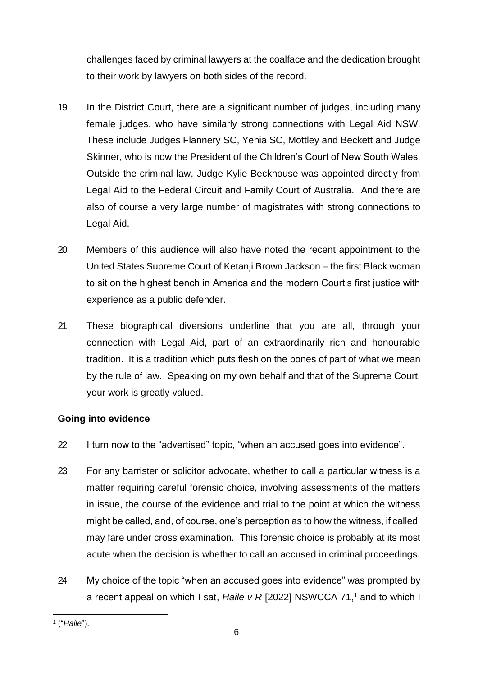challenges faced by criminal lawyers at the coalface and the dedication brought to their work by lawyers on both sides of the record.

- 19 In the District Court, there are a significant number of judges, including many female judges, who have similarly strong connections with Legal Aid NSW. These include Judges Flannery SC, Yehia SC, Mottley and Beckett and Judge Skinner, who is now the President of the Children's Court of New South Wales. Outside the criminal law, Judge Kylie Beckhouse was appointed directly from Legal Aid to the Federal Circuit and Family Court of Australia. And there are also of course a very large number of magistrates with strong connections to Legal Aid.
- 20 Members of this audience will also have noted the recent appointment to the United States Supreme Court of Ketanji Brown Jackson – the first Black woman to sit on the highest bench in America and the modern Court's first justice with experience as a public defender.
- 21 These biographical diversions underline that you are all, through your connection with Legal Aid, part of an extraordinarily rich and honourable tradition. It is a tradition which puts flesh on the bones of part of what we mean by the rule of law. Speaking on my own behalf and that of the Supreme Court, your work is greatly valued.

## **Going into evidence**

- 22 I turn now to the "advertised" topic, "when an accused goes into evidence".
- 23 For any barrister or solicitor advocate, whether to call a particular witness is a matter requiring careful forensic choice, involving assessments of the matters in issue, the course of the evidence and trial to the point at which the witness might be called, and, of course, one's perception as to how the witness, if called, may fare under cross examination. This forensic choice is probably at its most acute when the decision is whether to call an accused in criminal proceedings.
- 24 My choice of the topic "when an accused goes into evidence" was prompted by a recent appeal on which I sat, *Haile v R* [2022] NSWCCA 71, <sup>1</sup> and to which I

<sup>1</sup> ("*Haile*").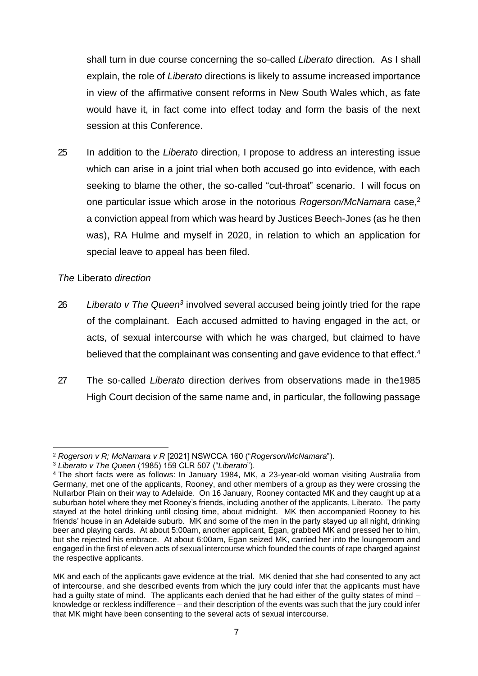shall turn in due course concerning the so-called *Liberato* direction. As I shall explain, the role of *Liberato* directions is likely to assume increased importance in view of the affirmative consent reforms in New South Wales which, as fate would have it, in fact come into effect today and form the basis of the next session at this Conference.

25 In addition to the *Liberato* direction, I propose to address an interesting issue which can arise in a joint trial when both accused go into evidence, with each seeking to blame the other, the so-called "cut-throat" scenario. I will focus on one particular issue which arose in the notorious *Rogerson/McNamara* case, 2 a conviction appeal from which was heard by Justices Beech-Jones (as he then was), RA Hulme and myself in 2020, in relation to which an application for special leave to appeal has been filed.

*The* Liberato *direction*

- 26 Liberato v The Queen<sup>3</sup> involved several accused being jointly tried for the rape of the complainant. Each accused admitted to having engaged in the act, or acts, of sexual intercourse with which he was charged, but claimed to have believed that the complainant was consenting and gave evidence to that effect.<sup>4</sup>
- 27 The so-called *Liberato* direction derives from observations made in the1985 High Court decision of the same name and, in particular, the following passage

<sup>2</sup> *Rogerson v R; McNamara v R* [2021] NSWCCA 160 ("*Rogerson/McNamara*").

<sup>3</sup> *Liberato v The Queen* (1985) 159 CLR 507 ("*Liberato*").

<sup>4</sup> The short facts were as follows: In January 1984, MK, a 23-year-old woman visiting Australia from Germany, met one of the applicants, Rooney, and other members of a group as they were crossing the Nullarbor Plain on their way to Adelaide. On 16 January, Rooney contacted MK and they caught up at a suburban hotel where they met Rooney's friends, including another of the applicants, Liberato. The party stayed at the hotel drinking until closing time, about midnight. MK then accompanied Rooney to his friends' house in an Adelaide suburb. MK and some of the men in the party stayed up all night, drinking beer and playing cards. At about 5:00am, another applicant, Egan, grabbed MK and pressed her to him, but she rejected his embrace. At about 6:00am, Egan seized MK, carried her into the loungeroom and engaged in the first of eleven acts of sexual intercourse which founded the counts of rape charged against the respective applicants.

MK and each of the applicants gave evidence at the trial. MK denied that she had consented to any act of intercourse, and she described events from which the jury could infer that the applicants must have had a guilty state of mind. The applicants each denied that he had either of the guilty states of mind knowledge or reckless indifference – and their description of the events was such that the jury could infer that MK might have been consenting to the several acts of sexual intercourse.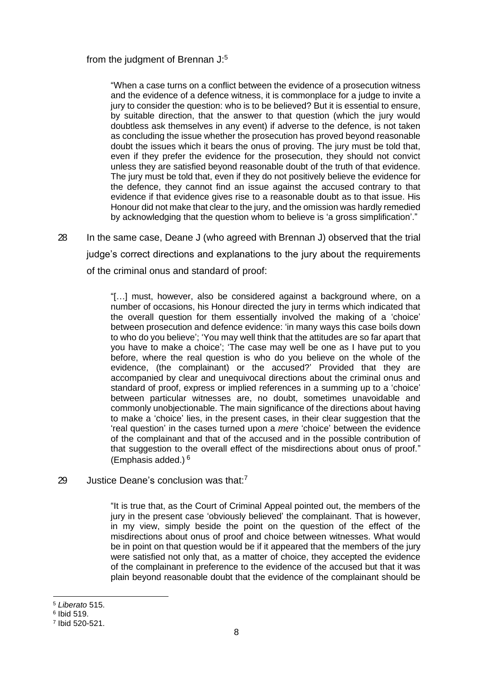#### from the judgment of Brennan J:<sup>5</sup>

"When a case turns on a conflict between the evidence of a prosecution witness and the evidence of a defence witness, it is commonplace for a judge to invite a jury to consider the question: who is to be believed? But it is essential to ensure, by suitable direction, that the answer to that question (which the jury would doubtless ask themselves in any event) if adverse to the defence, is not taken as concluding the issue whether the prosecution has proved beyond reasonable doubt the issues which it bears the onus of proving. The jury must be told that, even if they prefer the evidence for the prosecution, they should not convict unless they are satisfied beyond reasonable doubt of the truth of that evidence. The jury must be told that, even if they do not positively believe the evidence for the defence, they cannot find an issue against the accused contrary to that evidence if that evidence gives rise to a reasonable doubt as to that issue. His Honour did not make that clear to the jury, and the omission was hardly remedied by acknowledging that the question whom to believe is 'a gross simplification'."

28 In the same case, Deane J (who agreed with Brennan J) observed that the trial judge's correct directions and explanations to the jury about the requirements of the criminal onus and standard of proof:

> "[…] must, however, also be considered against a background where, on a number of occasions, his Honour directed the jury in terms which indicated that the overall question for them essentially involved the making of a 'choice' between prosecution and defence evidence: 'in many ways this case boils down to who do you believe'; 'You may well think that the attitudes are so far apart that you have to make a choice'; 'The case may well be one as I have put to you before, where the real question is who do you believe on the whole of the evidence, (the complainant) or the accused?' Provided that they are accompanied by clear and unequivocal directions about the criminal onus and standard of proof, express or implied references in a summing up to a 'choice' between particular witnesses are, no doubt, sometimes unavoidable and commonly unobjectionable. The main significance of the directions about having to make a 'choice' lies, in the present cases, in their clear suggestion that the 'real question' in the cases turned upon a *mere* 'choice' between the evidence of the complainant and that of the accused and in the possible contribution of that suggestion to the overall effect of the misdirections about onus of proof." (Emphasis added.) 6

29 Justice Deane's conclusion was that:<sup>7</sup>

"It is true that, as the Court of Criminal Appeal pointed out, the members of the jury in the present case 'obviously believed' the complainant. That is however, in my view, simply beside the point on the question of the effect of the misdirections about onus of proof and choice between witnesses. What would be in point on that question would be if it appeared that the members of the jury were satisfied not only that, as a matter of choice, they accepted the evidence of the complainant in preference to the evidence of the accused but that it was plain beyond reasonable doubt that the evidence of the complainant should be

<sup>5</sup> *Liberato* 515.

<sup>6</sup> Ibid 519.

<sup>7</sup> Ibid 520-521.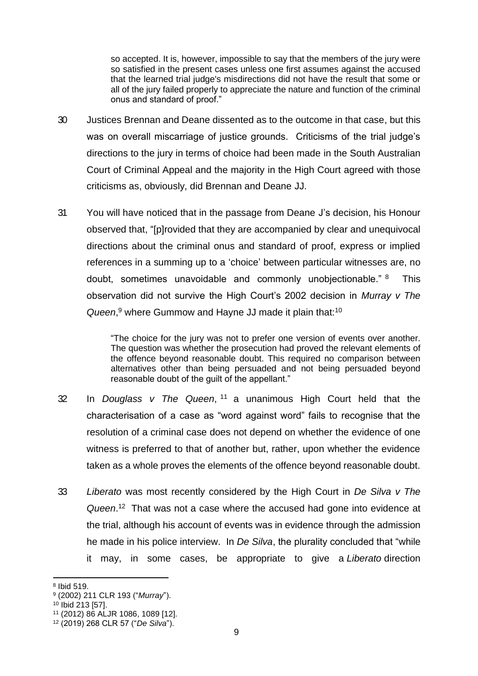so accepted. It is, however, impossible to say that the members of the jury were so satisfied in the present cases unless one first assumes against the accused that the learned trial judge's misdirections did not have the result that some or all of the jury failed properly to appreciate the nature and function of the criminal onus and standard of proof."

- 30 Justices Brennan and Deane dissented as to the outcome in that case, but this was on overall miscarriage of justice grounds. Criticisms of the trial judge's directions to the jury in terms of choice had been made in the South Australian Court of Criminal Appeal and the majority in the High Court agreed with those criticisms as, obviously, did Brennan and Deane JJ.
- 31 You will have noticed that in the passage from Deane J's decision, his Honour observed that, "[p]rovided that they are accompanied by clear and unequivocal directions about the criminal onus and standard of proof, express or implied references in a summing up to a 'choice' between particular witnesses are, no doubt, sometimes unavoidable and commonly unobjectionable." <sup>8</sup> This observation did not survive the High Court's 2002 decision in *Murray v The*  Queen,<sup>9</sup> where Gummow and Hayne JJ made it plain that:<sup>10</sup>

"The choice for the jury was not to prefer one version of events over another. The question was whether the prosecution had proved the relevant elements of the offence beyond reasonable doubt. This required no comparison between alternatives other than being persuaded and not being persuaded beyond reasonable doubt of the guilt of the appellant."

- 32 In *Douglass v The Queen*, <sup>11</sup> a unanimous High Court held that the characterisation of a case as "word against word" fails to recognise that the resolution of a criminal case does not depend on whether the evidence of one witness is preferred to that of another but, rather, upon whether the evidence taken as a whole proves the elements of the offence beyond reasonable doubt.
- 33 *Liberato* was most recently considered by the High Court in *De Silva v The*  Queen.<sup>12</sup> That was not a case where the accused had gone into evidence at the trial, although his account of events was in evidence through the admission he made in his police interview. In *De Silva*, the plurality concluded that "while it may, in some cases, be appropriate to give a *Liberato* direction

<sup>8</sup> Ibid 519.

<sup>9</sup> (2002) 211 CLR 193 ("*Murray*").

 $10$  Ibid 213 [57].

<sup>11</sup> (2012) 86 ALJR 1086, 1089 [12].

<sup>12</sup> (2019) 268 CLR 57 ("*De Silva*").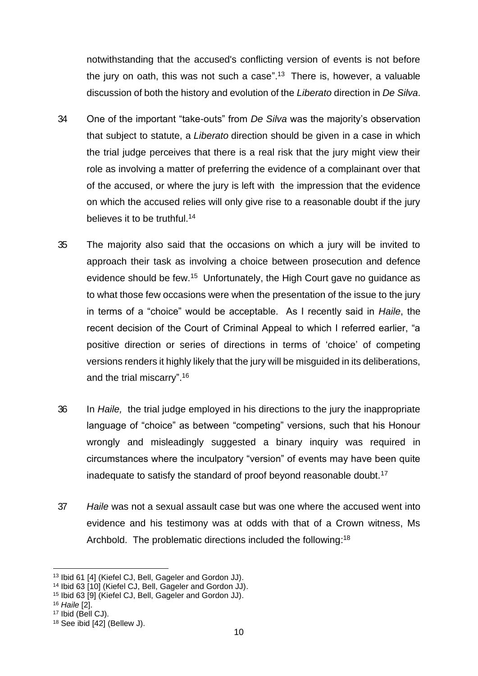notwithstanding that the accused's conflicting version of events is not before the jury on oath, this was not such a case". 13 There is, however, a valuable discussion of both the history and evolution of the *Liberato* direction in *De Silva*.

- 34 One of the important "take-outs" from *De Silva* was the majority's observation that subject to statute, a *Liberato* direction should be given in a case in which the trial judge perceives that there is a real risk that the jury might view their role as involving a matter of preferring the evidence of a complainant over that of the accused, or where the jury is left with the impression that the evidence on which the accused relies will only give rise to a reasonable doubt if the jury believes it to be truthful.<sup>14</sup>
- 35 The majority also said that the occasions on which a jury will be invited to approach their task as involving a choice between prosecution and defence evidence should be few.<sup>15</sup> Unfortunately, the High Court gave no guidance as to what those few occasions were when the presentation of the issue to the jury in terms of a "choice" would be acceptable. As I recently said in *Haile*, the recent decision of the Court of Criminal Appeal to which I referred earlier, "a positive direction or series of directions in terms of 'choice' of competing versions renders it highly likely that the jury will be misguided in its deliberations, and the trial miscarry". 16
- 36 In *Haile,* the trial judge employed in his directions to the jury the inappropriate language of "choice" as between "competing" versions, such that his Honour wrongly and misleadingly suggested a binary inquiry was required in circumstances where the inculpatory "version" of events may have been quite inadequate to satisfy the standard of proof beyond reasonable doubt.<sup>17</sup>
- 37 *Haile* was not a sexual assault case but was one where the accused went into evidence and his testimony was at odds with that of a Crown witness, Ms Archbold. The problematic directions included the following:<sup>18</sup>

17 Ibid (Bell CJ).

<sup>13</sup> Ibid 61 [4] (Kiefel CJ, Bell, Gageler and Gordon JJ).

<sup>14</sup> Ibid 63 [10] (Kiefel CJ, Bell, Gageler and Gordon JJ).

<sup>15</sup> Ibid 63 [9] (Kiefel CJ, Bell, Gageler and Gordon JJ).

<sup>16</sup> *Haile* [2].

<sup>18</sup> See ibid [42] (Bellew J).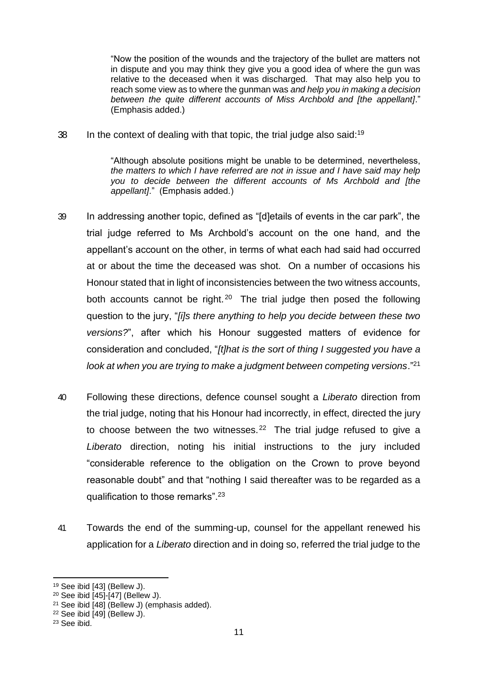"Now the position of the wounds and the trajectory of the bullet are matters not in dispute and you may think they give you a good idea of where the gun was relative to the deceased when it was discharged. That may also help you to reach some view as to where the gunman was *and help you in making a decision between the quite different accounts of Miss Archbold and [the appellant]*." (Emphasis added.)

38 In the context of dealing with that topic, the trial judge also said:<sup>19</sup>

"Although absolute positions might be unable to be determined, nevertheless, *the matters to which I have referred are not in issue and I have said may help you to decide between the different accounts of Ms Archbold and [the appellant]*." (Emphasis added.)

- 39 In addressing another topic, defined as "[d]etails of events in the car park", the trial judge referred to Ms Archbold's account on the one hand, and the appellant's account on the other, in terms of what each had said had occurred at or about the time the deceased was shot. On a number of occasions his Honour stated that in light of inconsistencies between the two witness accounts, both accounts cannot be right.<sup>20</sup> The trial judge then posed the following question to the jury, "*[i]s there anything to help you decide between these two versions?*", after which his Honour suggested matters of evidence for consideration and concluded, "*[t]hat is the sort of thing I suggested you have a look at when you are trying to make a judgment between competing versions*."<sup>21</sup>
- 40 Following these directions, defence counsel sought a *Liberato* direction from the trial judge, noting that his Honour had incorrectly, in effect, directed the jury to choose between the two witnesses.<sup>22</sup> The trial judge refused to give a *Liberato* direction, noting his initial instructions to the jury included "considerable reference to the obligation on the Crown to prove beyond reasonable doubt" and that "nothing I said thereafter was to be regarded as a qualification to those remarks".<sup>23</sup>
- 41 Towards the end of the summing-up, counsel for the appellant renewed his application for a *Liberato* direction and in doing so, referred the trial judge to the

<sup>19</sup> See ibid [43] (Bellew J).

<sup>20</sup> See ibid [45]-[47] (Bellew J).

<sup>21</sup> See ibid [48] (Bellew J) (emphasis added).

<sup>22</sup> See ibid [49] (Bellew J).

 $23$  See ibid.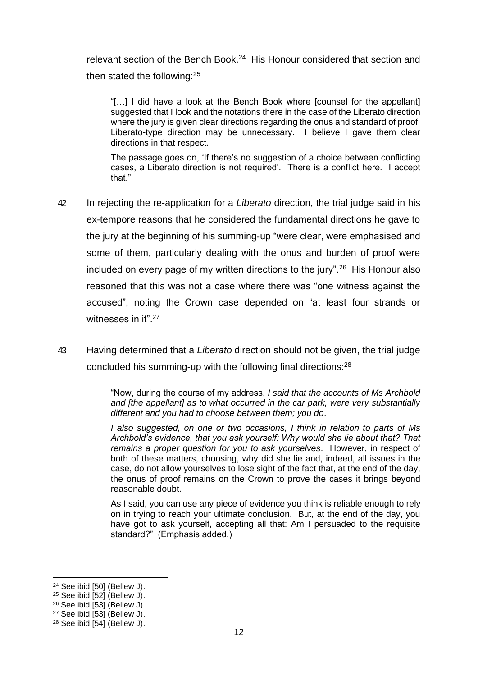relevant section of the Bench Book.<sup>24</sup> His Honour considered that section and then stated the following:<sup>25</sup>

"[…] I did have a look at the Bench Book where [counsel for the appellant] suggested that I look and the notations there in the case of the Liberato direction where the jury is given clear directions regarding the onus and standard of proof, Liberato-type direction may be unnecessary. I believe I gave them clear directions in that respect.

The passage goes on, 'If there's no suggestion of a choice between conflicting cases, a Liberato direction is not required'. There is a conflict here. I accept that."

- 42 In rejecting the re-application for a *Liberato* direction, the trial judge said in his ex-tempore reasons that he considered the fundamental directions he gave to the jury at the beginning of his summing-up "were clear, were emphasised and some of them, particularly dealing with the onus and burden of proof were included on every page of my written directions to the jury".<sup>26</sup> His Honour also reasoned that this was not a case where there was "one witness against the accused", noting the Crown case depended on "at least four strands or witnesses in it".<sup>27</sup>
- 43 Having determined that a *Liberato* direction should not be given, the trial judge concluded his summing-up with the following final directions:<sup>28</sup>

"Now, during the course of my address, *I said that the accounts of Ms Archbold and [the appellant] as to what occurred in the car park, were very substantially different and you had to choose between them; you do*.

*I also suggested, on one or two occasions, I think in relation to parts of Ms Archbold's evidence, that you ask yourself: Why would she lie about that? That remains a proper question for you to ask yourselves*. However, in respect of both of these matters, choosing, why did she lie and, indeed, all issues in the case, do not allow yourselves to lose sight of the fact that, at the end of the day, the onus of proof remains on the Crown to prove the cases it brings beyond reasonable doubt.

As I said, you can use any piece of evidence you think is reliable enough to rely on in trying to reach your ultimate conclusion. But, at the end of the day, you have got to ask yourself, accepting all that: Am I persuaded to the requisite standard?" (Emphasis added.)

<sup>24</sup> See ibid [50] (Bellew J).

 $25$  See ibid [52] (Bellew J).

<sup>26</sup> See ibid [53] (Bellew J).

<sup>27</sup> See ibid [53] (Bellew J).

 $28$  See ibid [54] (Bellew J).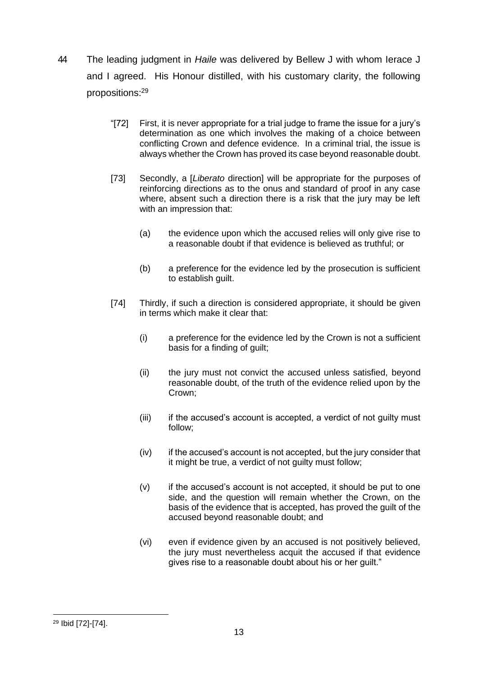- 44 The leading judgment in *Haile* was delivered by Bellew J with whom Ierace J and I agreed. His Honour distilled, with his customary clarity, the following propositions:<sup>29</sup>
	- "[72] First, it is never appropriate for a trial judge to frame the issue for a jury's determination as one which involves the making of a choice between conflicting Crown and defence evidence. In a criminal trial, the issue is always whether the Crown has proved its case beyond reasonable doubt.
	- [73] Secondly, a [*Liberato* direction] will be appropriate for the purposes of reinforcing directions as to the onus and standard of proof in any case where, absent such a direction there is a risk that the jury may be left with an impression that:
		- (a) the evidence upon which the accused relies will only give rise to a reasonable doubt if that evidence is believed as truthful; or
		- (b) a preference for the evidence led by the prosecution is sufficient to establish guilt.
	- [74] Thirdly, if such a direction is considered appropriate, it should be given in terms which make it clear that:
		- (i) a preference for the evidence led by the Crown is not a sufficient basis for a finding of guilt;
		- (ii) the jury must not convict the accused unless satisfied, beyond reasonable doubt, of the truth of the evidence relied upon by the Crown;
		- (iii) if the accused's account is accepted, a verdict of not guilty must follow;
		- $(iv)$  if the accused's account is not accepted, but the jury consider that it might be true, a verdict of not guilty must follow;
		- (v) if the accused's account is not accepted, it should be put to one side, and the question will remain whether the Crown, on the basis of the evidence that is accepted, has proved the guilt of the accused beyond reasonable doubt; and
		- (vi) even if evidence given by an accused is not positively believed, the jury must nevertheless acquit the accused if that evidence gives rise to a reasonable doubt about his or her guilt."

<sup>29</sup> Ibid [72]-[74].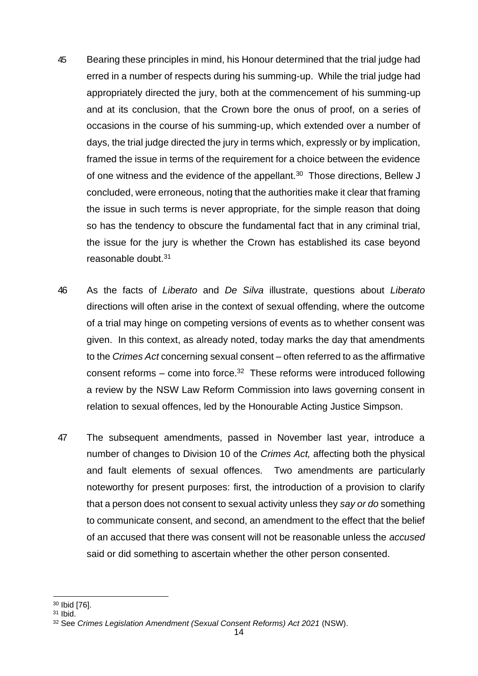- 45 Bearing these principles in mind, his Honour determined that the trial judge had erred in a number of respects during his summing-up. While the trial judge had appropriately directed the jury, both at the commencement of his summing-up and at its conclusion, that the Crown bore the onus of proof, on a series of occasions in the course of his summing-up, which extended over a number of days, the trial judge directed the jury in terms which, expressly or by implication, framed the issue in terms of the requirement for a choice between the evidence of one witness and the evidence of the appellant. $30$  Those directions, Bellew J concluded, were erroneous, noting that the authorities make it clear that framing the issue in such terms is never appropriate, for the simple reason that doing so has the tendency to obscure the fundamental fact that in any criminal trial, the issue for the jury is whether the Crown has established its case beyond reasonable doubt.<sup>31</sup>
- 46 As the facts of *Liberato* and *De Silva* illustrate, questions about *Liberato* directions will often arise in the context of sexual offending, where the outcome of a trial may hinge on competing versions of events as to whether consent was given. In this context, as already noted, today marks the day that amendments to the *Crimes Act* concerning sexual consent – often referred to as the affirmative consent reforms  $-$  come into force.<sup>32</sup> These reforms were introduced following a review by the NSW Law Reform Commission into laws governing consent in relation to sexual offences, led by the Honourable Acting Justice Simpson.
- 47 The subsequent amendments, passed in November last year, introduce a number of changes to Division 10 of the *Crimes Act,* affecting both the physical and fault elements of sexual offences. Two amendments are particularly noteworthy for present purposes: first, the introduction of a provision to clarify that a person does not consent to sexual activity unless they *say or do* something to communicate consent, and second, an amendment to the effect that the belief of an accused that there was consent will not be reasonable unless the *accused*  said or did something to ascertain whether the other person consented.

<sup>30</sup> Ibid [76].

<sup>31</sup> Ibid.

<sup>32</sup> See *Crimes Legislation Amendment (Sexual Consent Reforms) Act 2021* (NSW).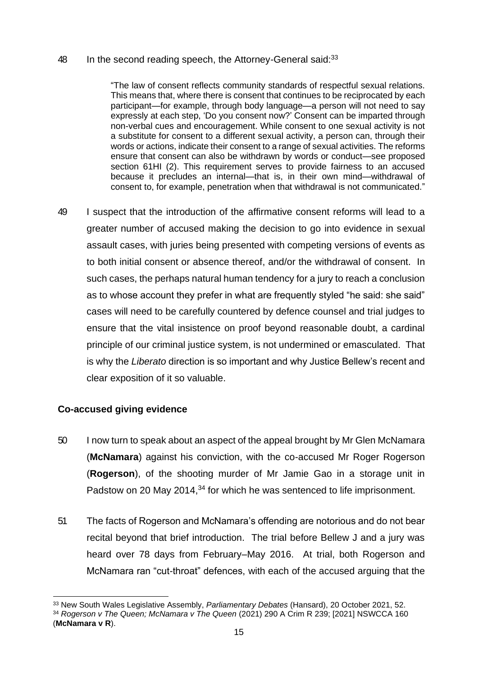#### 48 In the second reading speech, the Attorney-General said: $33$

"The law of consent reflects community standards of respectful sexual relations. This means that, where there is consent that continues to be reciprocated by each participant—for example, through body language—a person will not need to say expressly at each step, 'Do you consent now?' Consent can be imparted through non-verbal cues and encouragement. While consent to one sexual activity is not a substitute for consent to a different sexual activity, a person can, through their words or actions, indicate their consent to a range of sexual activities. The reforms ensure that consent can also be withdrawn by words or conduct—see proposed section 61HI (2). This requirement serves to provide fairness to an accused because it precludes an internal—that is, in their own mind—withdrawal of consent to, for example, penetration when that withdrawal is not communicated."

49 I suspect that the introduction of the affirmative consent reforms will lead to a greater number of accused making the decision to go into evidence in sexual assault cases, with juries being presented with competing versions of events as to both initial consent or absence thereof, and/or the withdrawal of consent. In such cases, the perhaps natural human tendency for a jury to reach a conclusion as to whose account they prefer in what are frequently styled "he said: she said" cases will need to be carefully countered by defence counsel and trial judges to ensure that the vital insistence on proof beyond reasonable doubt, a cardinal principle of our criminal justice system, is not undermined or emasculated. That is why the *Liberato* direction is so important and why Justice Bellew's recent and clear exposition of it so valuable.

## **Co-accused giving evidence**

- 50 I now turn to speak about an aspect of the appeal brought by Mr Glen McNamara (**McNamara**) against his conviction, with the co-accused Mr Roger Rogerson (**Rogerson**), of the shooting murder of Mr Jamie Gao in a storage unit in Padstow on 20 May 2014,<sup>34</sup> for which he was sentenced to life imprisonment.
- 51 The facts of Rogerson and McNamara's offending are notorious and do not bear recital beyond that brief introduction. The trial before Bellew J and a jury was heard over 78 days from February–May 2016. At trial, both Rogerson and McNamara ran "cut-throat" defences, with each of the accused arguing that the

<sup>33</sup> New South Wales Legislative Assembly, *Parliamentary Debates* (Hansard), 20 October 2021, 52.

<sup>34</sup> *Rogerson v The Queen; McNamara v The Queen* (2021) 290 A Crim R 239; [2021] NSWCCA 160

<sup>(</sup>**McNamara v R**).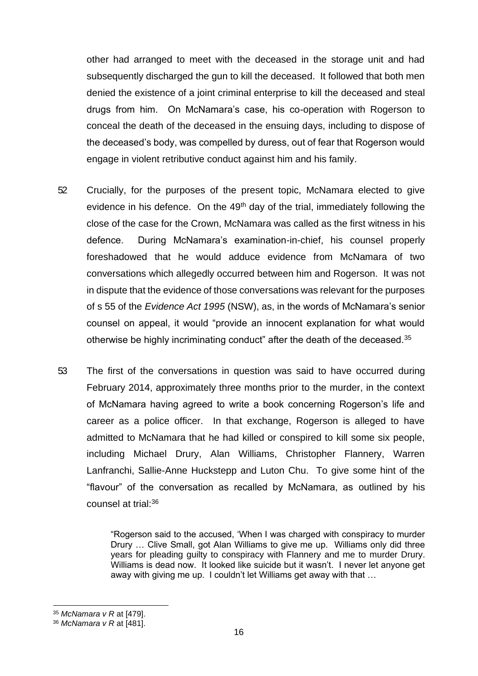other had arranged to meet with the deceased in the storage unit and had subsequently discharged the gun to kill the deceased. It followed that both men denied the existence of a joint criminal enterprise to kill the deceased and steal drugs from him. On McNamara's case, his co-operation with Rogerson to conceal the death of the deceased in the ensuing days, including to dispose of the deceased's body, was compelled by duress, out of fear that Rogerson would engage in violent retributive conduct against him and his family.

- 52 Crucially, for the purposes of the present topic, McNamara elected to give evidence in his defence. On the 49<sup>th</sup> day of the trial, immediately following the close of the case for the Crown, McNamara was called as the first witness in his defence. During McNamara's examination-in-chief, his counsel properly foreshadowed that he would adduce evidence from McNamara of two conversations which allegedly occurred between him and Rogerson. It was not in dispute that the evidence of those conversations was relevant for the purposes of s 55 of the *Evidence Act 1995* (NSW), as, in the words of McNamara's senior counsel on appeal, it would "provide an innocent explanation for what would otherwise be highly incriminating conduct" after the death of the deceased.<sup>35</sup>
- 53 The first of the conversations in question was said to have occurred during February 2014, approximately three months prior to the murder, in the context of McNamara having agreed to write a book concerning Rogerson's life and career as a police officer. In that exchange, Rogerson is alleged to have admitted to McNamara that he had killed or conspired to kill some six people, including Michael Drury, Alan Williams, Christopher Flannery, Warren Lanfranchi, Sallie-Anne Huckstepp and Luton Chu. To give some hint of the "flavour" of the conversation as recalled by McNamara, as outlined by his counsel at trial:<sup>36</sup>

"Rogerson said to the accused, 'When I was charged with conspiracy to murder Drury … Clive Small, got Alan Williams to give me up. Williams only did three years for pleading guilty to conspiracy with Flannery and me to murder Drury. Williams is dead now. It looked like suicide but it wasn't. I never let anyone get away with giving me up. I couldn't let Williams get away with that …

<sup>35</sup> *McNamara v R* at [479].

<sup>36</sup> *McNamara v R* at [481].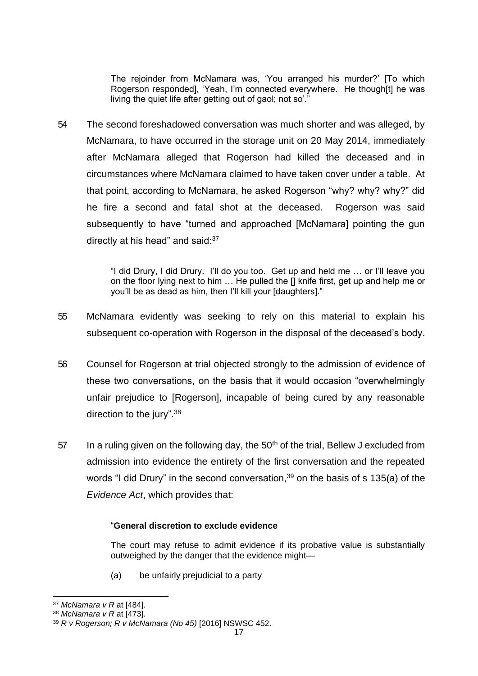The rejoinder from McNamara was, 'You arranged his murder?' [To which Rogerson responded], 'Yeah, I'm connected everywhere. He though[t] he was living the quiet life after getting out of gaol; not so'."

54 The second foreshadowed conversation was much shorter and was alleged, by McNamara, to have occurred in the storage unit on 20 May 2014, immediately after McNamara alleged that Rogerson had killed the deceased and in circumstances where McNamara claimed to have taken cover under a table. At that point, according to McNamara, he asked Rogerson "why? why? why?" did he fire a second and fatal shot at the deceased. Rogerson was said subsequently to have "turned and approached [McNamara] pointing the gun directly at his head" and said: 37

> "I did Drury, I did Drury. I'll do you too. Get up and held me … or I'll leave you on the floor lying next to him … He pulled the [] knife first, get up and help me or you'll be as dead as him, then I'll kill your [daughters]."

- 55 McNamara evidently was seeking to rely on this material to explain his subsequent co-operation with Rogerson in the disposal of the deceased's body.
- 56 Counsel for Rogerson at trial objected strongly to the admission of evidence of these two conversations, on the basis that it would occasion "overwhelmingly unfair prejudice to [Rogerson], incapable of being cured by any reasonable direction to the jury".<sup>38</sup>
- 57 In a ruling given on the following day, the  $50<sup>th</sup>$  of the trial, Bellew J excluded from admission into evidence the entirety of the first conversation and the repeated words "I did Drury" in the second conversation,  $39$  on the basis of s 135(a) of the *Evidence Act*, which provides that:

#### "**General discretion to exclude evidence**

The court may refuse to admit evidence if its probative value is substantially outweighed by the danger that the evidence might—

(a) be unfairly prejudicial to a party

<sup>37</sup> *McNamara v R* at [484].

<sup>38</sup> *McNamara v R* at [473].

<sup>39</sup> *R v Rogerson; R v McNamara (No 45)* [2016] NSWSC 452.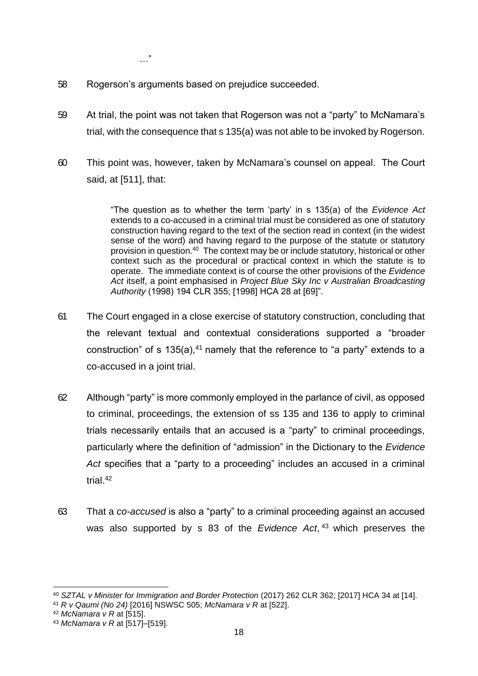…"

- 58 Rogerson's arguments based on prejudice succeeded.
- 59 At trial, the point was not taken that Rogerson was not a "party" to McNamara's trial, with the consequence that s 135(a) was not able to be invoked by Rogerson.
- 60 This point was, however, taken by McNamara's counsel on appeal. The Court said, at [511], that:

"The question as to whether the term 'party' in s 135(a) of the *Evidence Act* extends to a co-accused in a criminal trial must be considered as one of statutory construction having regard to the text of the section read in context (in the widest sense of the word) and having regard to the purpose of the statute or statutory provision in question.<sup>40</sup> The context may be or include statutory, historical or other context such as the procedural or practical context in which the statute is to operate. The immediate context is of course the other provisions of the *Evidence Act* itself, a point emphasised in *Project Blue Sky Inc v Australian Broadcasting Authority* (1998) 194 CLR 355; [1998] HCA 28 at [69]".

- 61 The Court engaged in a close exercise of statutory construction, concluding that the relevant textual and contextual considerations supported a "broader construction" of s 135(a),  $41$  namely that the reference to "a party" extends to a co-accused in a joint trial.
- 62 Although "party" is more commonly employed in the parlance of civil, as opposed to criminal, proceedings, the extension of ss 135 and 136 to apply to criminal trials necessarily entails that an accused is a "party" to criminal proceedings, particularly where the definition of "admission" in the Dictionary to the *Evidence Act* specifies that a "party to a proceeding" includes an accused in a criminal trial.<sup>42</sup>
- 63 That a *co-accused* is also a "party" to a criminal proceeding against an accused was also supported by s 83 of the *Evidence Act*, <sup>43</sup> which preserves the

<sup>40</sup> *SZTAL v Minister for Immigration and Border Protection* (2017) 262 CLR 362; [2017] HCA 34 at [14].

<sup>41</sup> *R v Qaumi (No 24)* [2016] NSWSC 505; *McNamara v R* at [522].

<sup>42</sup> *McNamara v R* at [515].

<sup>43</sup> *McNamara v R* at [517]–[519].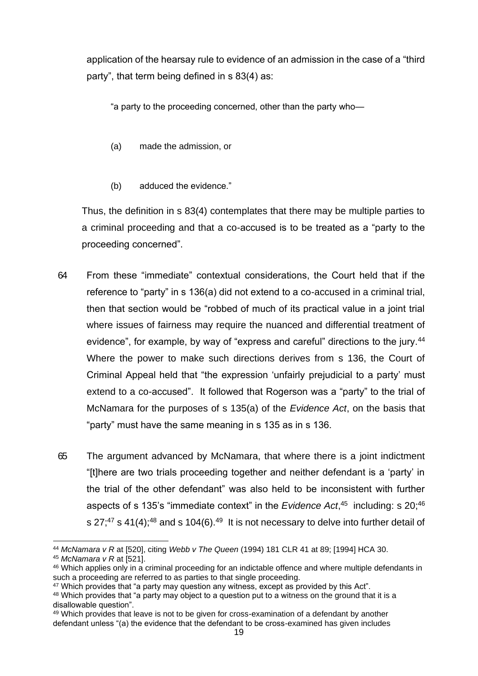application of the hearsay rule to evidence of an admission in the case of a "third party", that term being defined in s 83(4) as:

"a party to the proceeding concerned, other than the party who—

- (a) made the admission, or
- (b) adduced the evidence."

Thus, the definition in s 83(4) contemplates that there may be multiple parties to a criminal proceeding and that a co-accused is to be treated as a "party to the proceeding concerned".

- 64 From these "immediate" contextual considerations, the Court held that if the reference to "party" in s 136(a) did not extend to a co-accused in a criminal trial, then that section would be "robbed of much of its practical value in a joint trial where issues of fairness may require the nuanced and differential treatment of evidence", for example, by way of "express and careful" directions to the jury.<sup>44</sup> Where the power to make such directions derives from s 136, the Court of Criminal Appeal held that "the expression 'unfairly prejudicial to a party' must extend to a co-accused". It followed that Rogerson was a "party" to the trial of McNamara for the purposes of s 135(a) of the *Evidence Act*, on the basis that "party" must have the same meaning in s 135 as in s 136.
- 65 The argument advanced by McNamara, that where there is a joint indictment "[t]here are two trials proceeding together and neither defendant is a 'party' in the trial of the other defendant" was also held to be inconsistent with further aspects of s 135's "immediate context" in the *Evidence Act*,<sup>45</sup> including: s 20;<sup>46</sup> s 27;<sup>47</sup> s 41(4);<sup>48</sup> and s 104(6).<sup>49</sup> It is not necessary to delve into further detail of

<sup>44</sup> *McNamara v R* at [520], citing *Webb v The Queen* (1994) 181 CLR 41 at 89; [1994] HCA 30.

<sup>45</sup> *McNamara v R* at [521].

<sup>46</sup> Which applies only in a criminal proceeding for an indictable offence and where multiple defendants in such a proceeding are referred to as parties to that single proceeding.

<sup>47</sup> Which provides that "a party may question any witness, except as provided by this Act".

<sup>48</sup> Which provides that "a party may object to a question put to a witness on the ground that it is a disallowable question".

<sup>49</sup> Which provides that leave is not to be given for cross-examination of a defendant by another defendant unless "(a) the evidence that the defendant to be cross-examined has given includes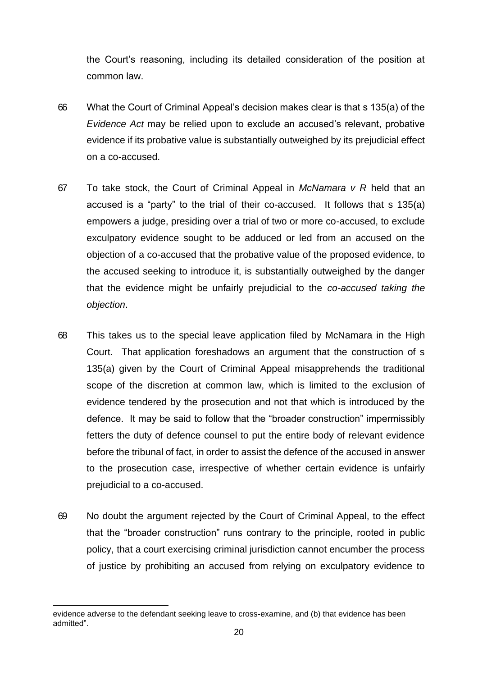the Court's reasoning, including its detailed consideration of the position at common law.

- 66 What the Court of Criminal Appeal's decision makes clear is that s 135(a) of the *Evidence Act* may be relied upon to exclude an accused's relevant, probative evidence if its probative value is substantially outweighed by its prejudicial effect on a co-accused.
- 67 To take stock, the Court of Criminal Appeal in *McNamara v R* held that an accused is a "party" to the trial of their co-accused. It follows that s 135(a) empowers a judge, presiding over a trial of two or more co-accused, to exclude exculpatory evidence sought to be adduced or led from an accused on the objection of a co-accused that the probative value of the proposed evidence, to the accused seeking to introduce it, is substantially outweighed by the danger that the evidence might be unfairly prejudicial to the *co-accused taking the objection*.
- 68 This takes us to the special leave application filed by McNamara in the High Court. That application foreshadows an argument that the construction of s 135(a) given by the Court of Criminal Appeal misapprehends the traditional scope of the discretion at common law, which is limited to the exclusion of evidence tendered by the prosecution and not that which is introduced by the defence. It may be said to follow that the "broader construction" impermissibly fetters the duty of defence counsel to put the entire body of relevant evidence before the tribunal of fact, in order to assist the defence of the accused in answer to the prosecution case, irrespective of whether certain evidence is unfairly prejudicial to a co-accused.
- 69 No doubt the argument rejected by the Court of Criminal Appeal, to the effect that the "broader construction" runs contrary to the principle, rooted in public policy, that a court exercising criminal jurisdiction cannot encumber the process of justice by prohibiting an accused from relying on exculpatory evidence to

evidence adverse to the defendant seeking leave to cross-examine, and (b) that evidence has been admitted".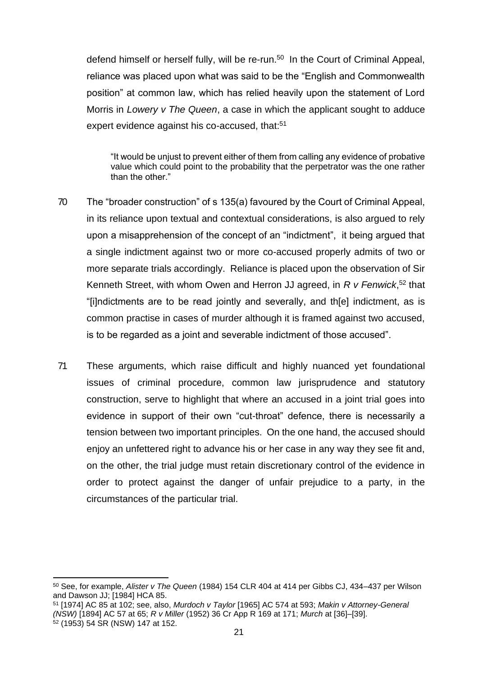defend himself or herself fully, will be re-run.<sup>50</sup> In the Court of Criminal Appeal, reliance was placed upon what was said to be the "English and Commonwealth position" at common law, which has relied heavily upon the statement of Lord Morris in *Lowery v The Queen*, a case in which the applicant sought to adduce expert evidence against his co-accused, that:<sup>51</sup>

"It would be unjust to prevent either of them from calling any evidence of probative value which could point to the probability that the perpetrator was the one rather than the other."

- 70 The "broader construction" of s 135(a) favoured by the Court of Criminal Appeal, in its reliance upon textual and contextual considerations, is also argued to rely upon a misapprehension of the concept of an "indictment", it being argued that a single indictment against two or more co-accused properly admits of two or more separate trials accordingly. Reliance is placed upon the observation of Sir Kenneth Street, with whom Owen and Herron JJ agreed, in *R v Fenwick*, <sup>52</sup> that "[i]ndictments are to be read jointly and severally, and th[e] indictment, as is common practise in cases of murder although it is framed against two accused, is to be regarded as a joint and severable indictment of those accused".
- 71 These arguments, which raise difficult and highly nuanced yet foundational issues of criminal procedure, common law jurisprudence and statutory construction, serve to highlight that where an accused in a joint trial goes into evidence in support of their own "cut-throat" defence, there is necessarily a tension between two important principles. On the one hand, the accused should enjoy an unfettered right to advance his or her case in any way they see fit and, on the other, the trial judge must retain discretionary control of the evidence in order to protect against the danger of unfair prejudice to a party, in the circumstances of the particular trial.

<sup>50</sup> See, for example, *Alister v The Queen* (1984) 154 CLR 404 at 414 per Gibbs CJ, 434–437 per Wilson and Dawson JJ; [1984] HCA 85.

<sup>51</sup> [1974] AC 85 at 102; see, also, *Murdoch v Taylor* [1965] AC 574 at 593; *Makin v Attorney-General (NSW)* [1894] AC 57 at 65; *R v Miller* (1952) 36 Cr App R 169 at 171; *Murch* at [36]–[39].

 $52$  (1953) 54 SR (NSW) 147 at 152.